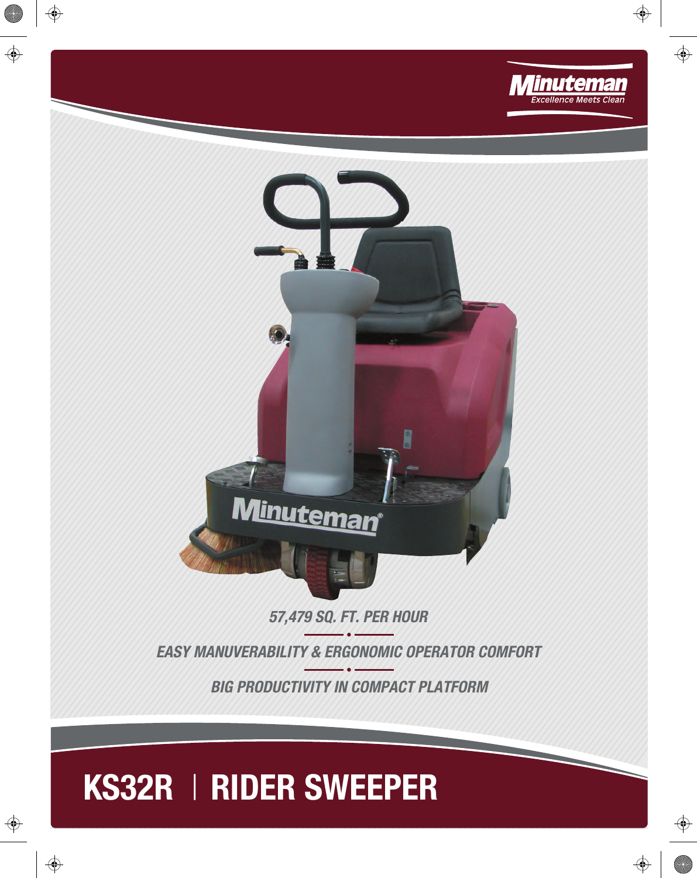



*57,479 SQ. FT. PER HOUR* 

*EASY MANUVERABILITY & ERGONOMIC OPERATOR COMFORT*

*BIG PRODUCTIVITY IN COMPACT PLATFORM*

## KS32R | RIDER SWEEPER